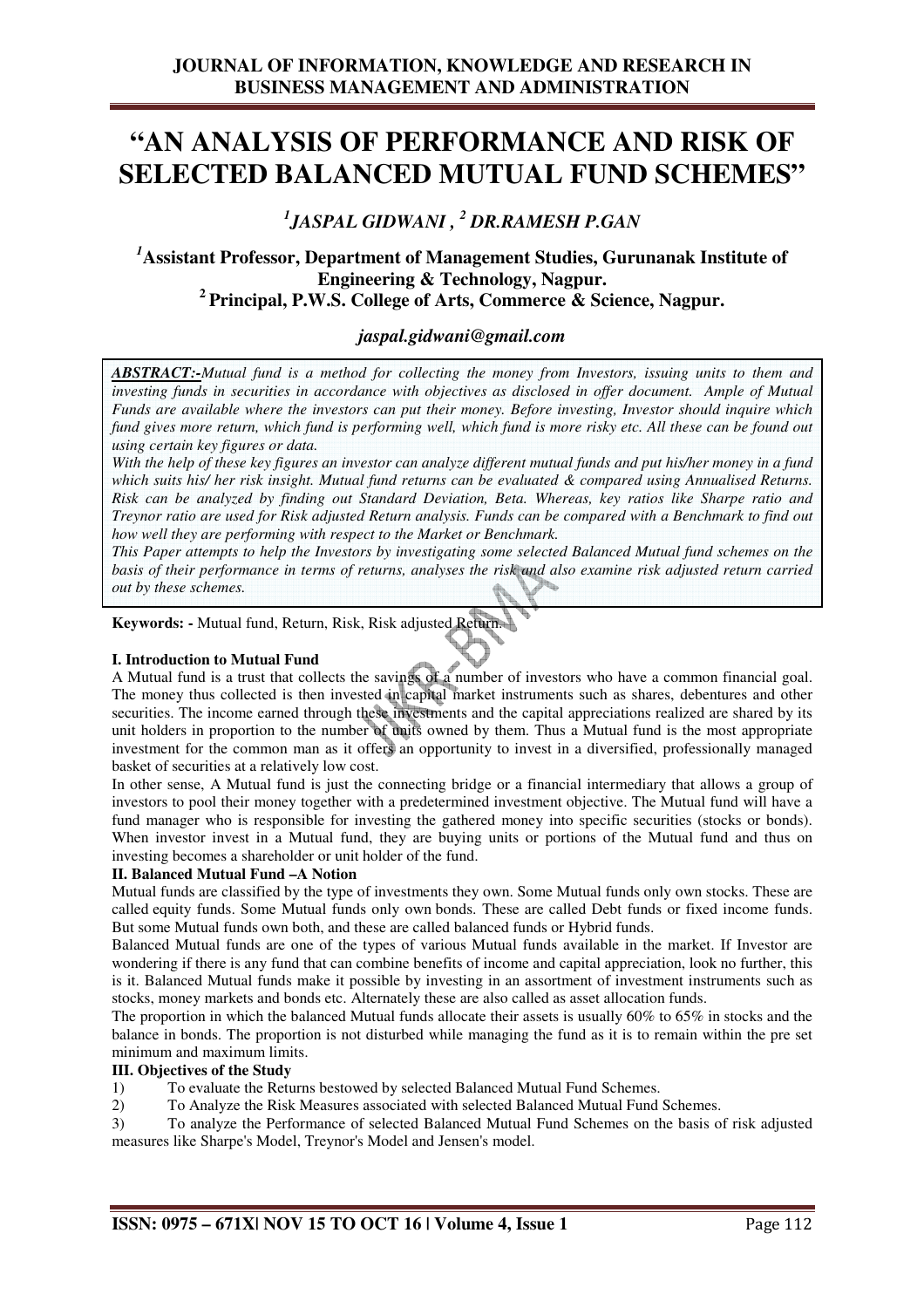# **"AN ANALYSIS OF PERFORMANCE AND RISK OF SELECTED BALANCED MUTUAL FUND SCHEMES"**

*1 JASPAL GIDWANI , <sup>2</sup> DR.RAMESH P.GAN* 

# *<sup>1</sup>***Assistant Professor, Department of Management Studies, Gurunanak Institute of Engineering & Technology, Nagpur. <sup>2</sup>Principal, P.W.S. College of Arts, Commerce & Science, Nagpur.**

# *jaspal.gidwani@gmail.com*

*ABSTRACT:-Mutual fund is a method for collecting the money from Investors, issuing units to them and investing funds in securities in accordance with objectives as disclosed in offer document. Ample of Mutual Funds are available where the investors can put their money. Before investing, Investor should inquire which*  fund gives more return, which fund is performing well, which fund is more risky etc. All these can be found out *using certain key figures or data.* 

*With the help of these key figures an investor can analyze different mutual funds and put his/her money in a fund which suits his/ her risk insight. Mutual fund returns can be evaluated & compared using Annualised Returns. Risk can be analyzed by finding out Standard Deviation, Beta. Whereas, key ratios like Sharpe ratio and Treynor ratio are used for Risk adjusted Return analysis. Funds can be compared with a Benchmark to find out how well they are performing with respect to the Market or Benchmark.* 

*This Paper attempts to help the Investors by investigating some selected Balanced Mutual fund schemes on the basis of their performance in terms of returns, analyses the risk and also examine risk adjusted return carried out by these schemes.* 

**Keywords: -** Mutual fund, Return, Risk, Risk adjusted Return.

# **I. Introduction to Mutual Fund**

A Mutual fund is a trust that collects the savings of a number of investors who have a common financial goal. The money thus collected is then invested in capital market instruments such as shares, debentures and other securities. The income earned through these investments and the capital appreciations realized are shared by its unit holders in proportion to the number of units owned by them. Thus a Mutual fund is the most appropriate investment for the common man as it offers an opportunity to invest in a diversified, professionally managed basket of securities at a relatively low cost.

In other sense, A Mutual fund is just the connecting bridge or a financial intermediary that allows a group of investors to pool their money together with a predetermined investment objective. The Mutual fund will have a fund manager who is responsible for investing the gathered money into specific securities (stocks or bonds). When investor invest in a Mutual fund, they are buying units or portions of the Mutual fund and thus on investing becomes a shareholder or unit holder of the fund.

# **II. Balanced Mutual Fund –A Notion**

Mutual funds are classified by the type of investments they own. Some Mutual funds only own stocks. These are called equity funds. Some Mutual funds only own bonds. These are called Debt funds or fixed income funds. But some Mutual funds own both, and these are called balanced funds or Hybrid funds.

Balanced Mutual funds are one of the types of various Mutual funds available in the market. If Investor are wondering if there is any fund that can combine benefits of income and capital appreciation, look no further, this is it. Balanced Mutual funds make it possible by investing in an assortment of investment instruments such as stocks, money markets and bonds etc. Alternately these are also called as asset allocation funds.

The proportion in which the balanced Mutual funds allocate their assets is usually 60% to 65% in stocks and the balance in bonds. The proportion is not disturbed while managing the fund as it is to remain within the pre set minimum and maximum limits.

# **III. Objectives of the Study**

- 1) To evaluate the Returns bestowed by selected Balanced Mutual Fund Schemes.
- 2) To Analyze the Risk Measures associated with selected Balanced Mutual Fund Schemes.
- 3) To analyze the Performance of selected Balanced Mutual Fund Schemes on the basis of risk adjusted measures like Sharpe's Model, Treynor's Model and Jensen's model.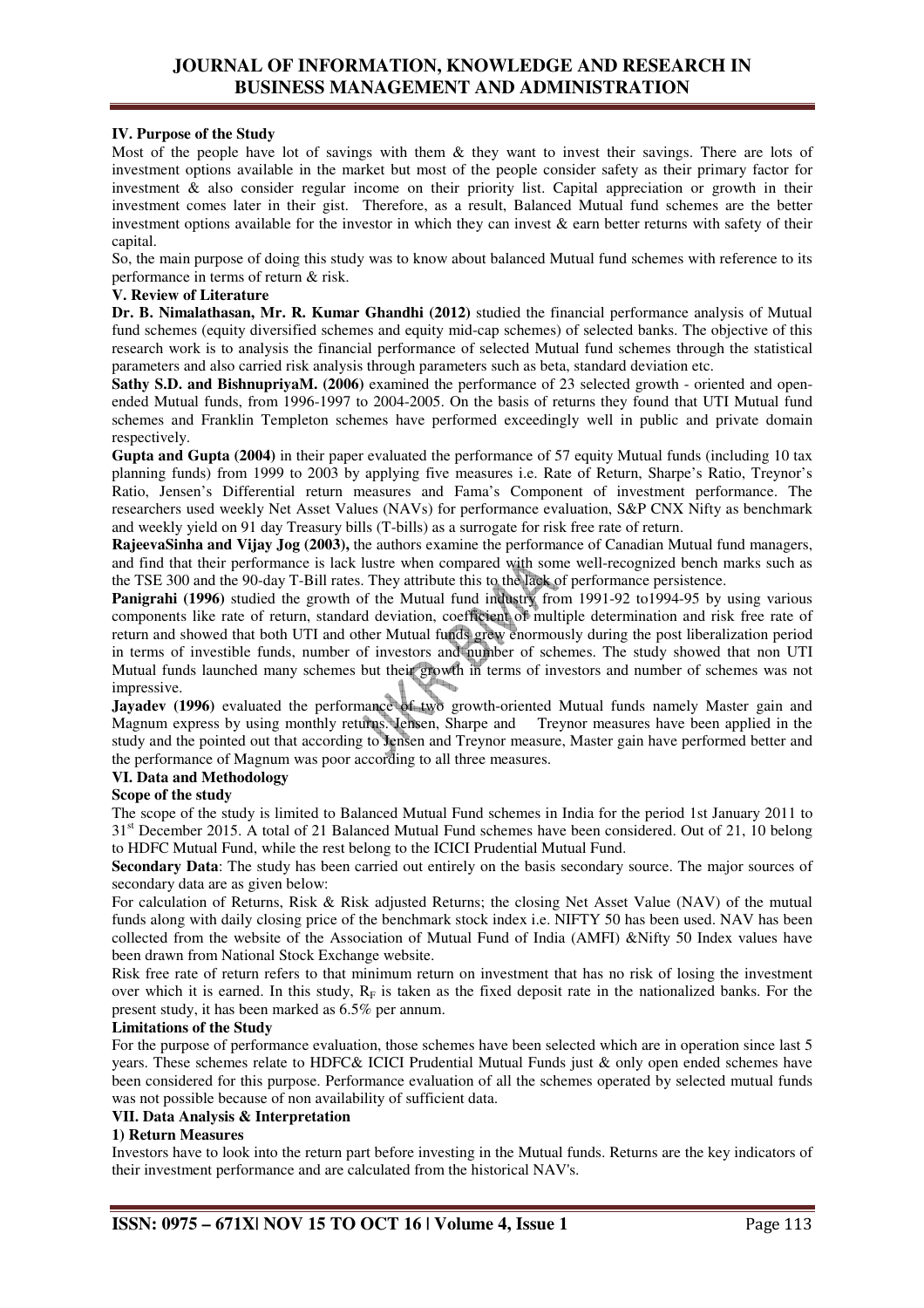# **IV. Purpose of the Study**

Most of the people have lot of savings with them & they want to invest their savings. There are lots of investment options available in the market but most of the people consider safety as their primary factor for investment & also consider regular income on their priority list. Capital appreciation or growth in their investment comes later in their gist. Therefore, as a result, Balanced Mutual fund schemes are the better investment options available for the investor in which they can invest  $\&$  earn better returns with safety of their capital.

So, the main purpose of doing this study was to know about balanced Mutual fund schemes with reference to its performance in terms of return & risk.

#### **V. Review of Literature**

**Dr. B. Nimalathasan, Mr. R. Kumar Ghandhi (2012)** studied the financial performance analysis of Mutual fund schemes (equity diversified schemes and equity mid-cap schemes) of selected banks. The objective of this research work is to analysis the financial performance of selected Mutual fund schemes through the statistical parameters and also carried risk analysis through parameters such as beta, standard deviation etc.

**Sathy S.D. and BishnupriyaM. (2006)** examined the performance of 23 selected growth - oriented and openended Mutual funds, from 1996-1997 to 2004-2005. On the basis of returns they found that UTI Mutual fund schemes and Franklin Templeton schemes have performed exceedingly well in public and private domain respectively.

**Gupta and Gupta (2004)** in their paper evaluated the performance of 57 equity Mutual funds (including 10 tax planning funds) from 1999 to 2003 by applying five measures i.e. Rate of Return, Sharpe's Ratio, Treynor's Ratio, Jensen's Differential return measures and Fama's Component of investment performance. The researchers used weekly Net Asset Values (NAVs) for performance evaluation, S&P CNX Nifty as benchmark and weekly yield on 91 day Treasury bills (T-bills) as a surrogate for risk free rate of return.

**RajeevaSinha and Vijay Jog (2003),** the authors examine the performance of Canadian Mutual fund managers, and find that their performance is lack lustre when compared with some well-recognized bench marks such as the TSE 300 and the 90-day T-Bill rates. They attribute this to the lack of performance persistence.

Panigrahi (1996) studied the growth of the Mutual fund industry from 1991-92 to1994-95 by using various components like rate of return, standard deviation, coefficient of multiple determination and risk free rate of return and showed that both UTI and other Mutual funds grew enormously during the post liberalization period in terms of investible funds, number of investors and number of schemes. The study showed that non UTI Mutual funds launched many schemes but their growth in terms of investors and number of schemes was not impressive.

**Jayadev (1996)** evaluated the performance of two growth-oriented Mutual funds namely Master gain and Magnum express by using monthly returns. Jensen, Sharpe and Treynor measures have been applied in the study and the pointed out that according to Jensen and Treynor measure, Master gain have performed better and the performance of Magnum was poor according to all three measures.

# **VI. Data and Methodology**

# **Scope of the study**

The scope of the study is limited to Balanced Mutual Fund schemes in India for the period 1st January 2011 to 31<sup>st</sup> December 2015. A total of 21 Balanced Mutual Fund schemes have been considered. Out of 21, 10 belong to HDFC Mutual Fund, while the rest belong to the ICICI Prudential Mutual Fund.

**Secondary Data**: The study has been carried out entirely on the basis secondary source. The major sources of secondary data are as given below:

For calculation of Returns, Risk & Risk adjusted Returns; the closing Net Asset Value (NAV) of the mutual funds along with daily closing price of the benchmark stock index i.e. NIFTY 50 has been used. NAV has been collected from the website of the Association of Mutual Fund of India (AMFI) &Nifty 50 Index values have been drawn from National Stock Exchange website.

Risk free rate of return refers to that minimum return on investment that has no risk of losing the investment over which it is earned. In this study,  $R_F$  is taken as the fixed deposit rate in the nationalized banks. For the present study, it has been marked as 6.5% per annum.

# **Limitations of the Study**

For the purpose of performance evaluation, those schemes have been selected which are in operation since last 5 years. These schemes relate to HDFC& ICICI Prudential Mutual Funds just & only open ended schemes have been considered for this purpose. Performance evaluation of all the schemes operated by selected mutual funds was not possible because of non availability of sufficient data.

# **VII. Data Analysis & Interpretation**

# **1) Return Measures**

Investors have to look into the return part before investing in the Mutual funds. Returns are the key indicators of their investment performance and are calculated from the historical NAV's.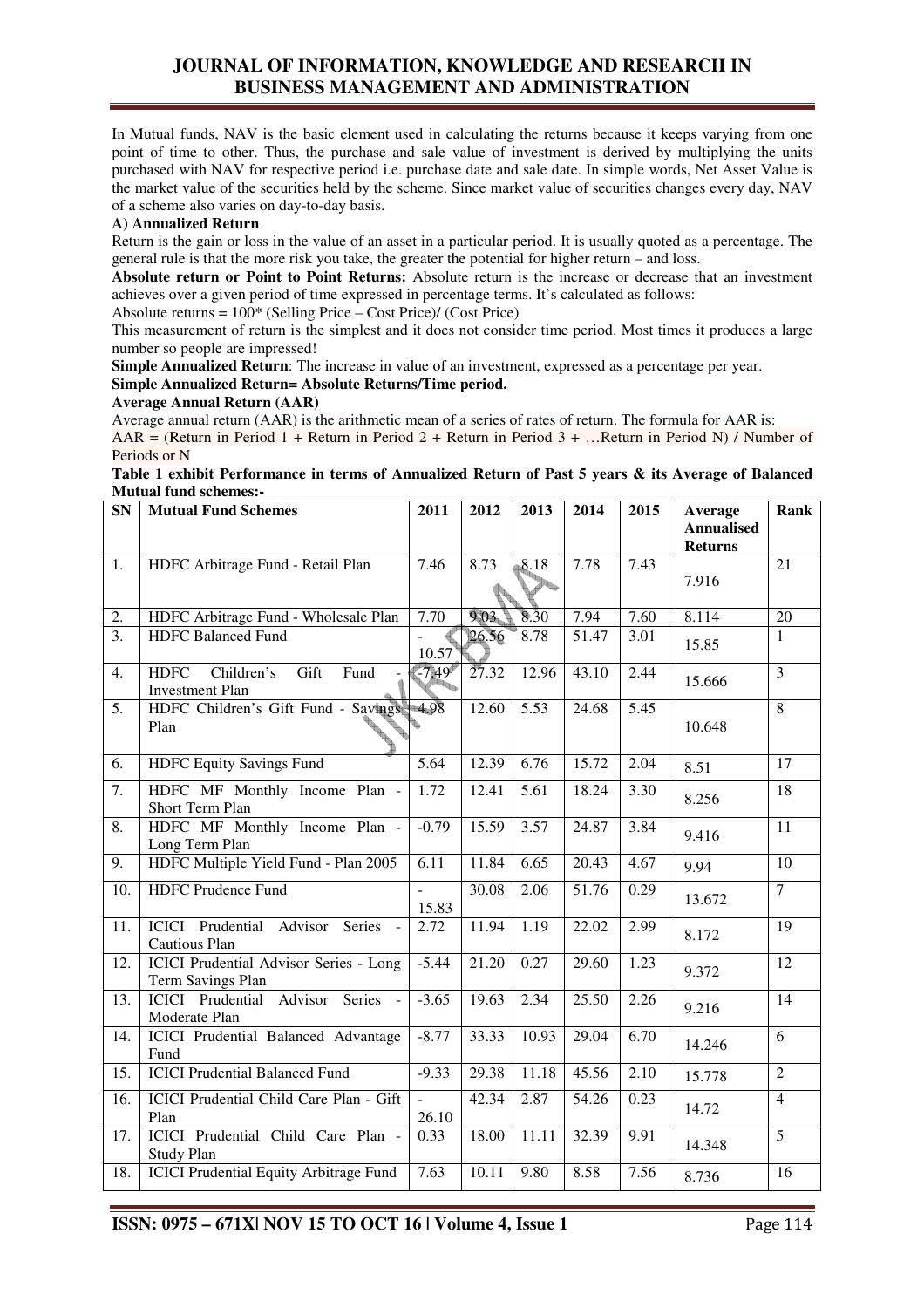In Mutual funds, NAV is the basic element used in calculating the returns because it keeps varying from one point of time to other. Thus, the purchase and sale value of investment is derived by multiplying the units purchased with NAV for respective period i.e. purchase date and sale date. In simple words, Net Asset Value is the market value of the securities held by the scheme. Since market value of securities changes every day, NAV of a scheme also varies on day-to-day basis.

# **A) Annualized Return**

Return is the gain or loss in the value of an asset in a particular period. It is usually quoted as a percentage. The general rule is that the more risk you take, the greater the potential for higher return – and loss.

**Absolute return or Point to Point Returns:** Absolute return is the increase or decrease that an investment achieves over a given period of time expressed in percentage terms. It's calculated as follows:

Absolute returns = 100\* (Selling Price – Cost Price)/ (Cost Price)

This measurement of return is the simplest and it does not consider time period. Most times it produces a large number so people are impressed!

**Simple Annualized Return**: The increase in value of an investment, expressed as a percentage per year. **Simple Annualized Return= Absolute Returns/Time period.**

# **Average Annual Return (AAR)**

Average annual return (AAR) is the arithmetic mean of a series of rates of return. The formula for AAR is: AAR = (Return in Period 1 + Return in Period 2 + Return in Period 3 + …Return in Period N) / Number of Periods or N

| Table 1 exhibit Performance in terms of Annualized Return of Past 5 years & its Average of Balanced |  |  |
|-----------------------------------------------------------------------------------------------------|--|--|
| <b>Mutual fund schemes:-</b>                                                                        |  |  |

| $\overline{\text{SN}}$ | <b>Mutual Fund Schemes</b>                                          | 2011    | 2012  | 2013              | 2014  | 2015              | Average<br><b>Annualised</b> | Rank            |
|------------------------|---------------------------------------------------------------------|---------|-------|-------------------|-------|-------------------|------------------------------|-----------------|
|                        |                                                                     |         |       |                   |       |                   | <b>Returns</b>               |                 |
| 1.                     | HDFC Arbitrage Fund - Retail Plan                                   | 7.46    | 8.73  | 8.18              | 7.78  | 7.43              |                              | 21              |
|                        |                                                                     |         |       |                   |       |                   | 7.916                        |                 |
| 2.                     | HDFC Arbitrage Fund - Wholesale Plan                                | 7.70    | 9.03  | 8.30              | 7.94  | 7.60              | 8.114                        | 20              |
| $\overline{3}$ .       | <b>HDFC Balanced Fund</b>                                           | 10.57   | 26.56 | 8.78              | 51.47 | 3.01              | 15.85                        | $\mathbf{1}$    |
| 4.                     | <b>HDFC</b><br>Children's<br>Gift<br>Fund<br><b>Investment Plan</b> | $-7.49$ | 27.32 | 12.96             | 43.10 | 2.44              | 15.666                       | $\overline{3}$  |
| $\overline{5}$ .       | HDFC Children's Gift Fund - Savings<br>Plan                         | 4.98    | 12.60 | $\overline{5.53}$ | 24.68 | $\overline{5.45}$ | 10.648                       | $\overline{8}$  |
| 6.                     | <b>HDFC Equity Savings Fund</b>                                     | 5.64    | 12.39 | 6.76              | 15.72 | 2.04              | 8.51                         | 17              |
| $\overline{7}$ .       | HDFC MF Monthly Income Plan -<br>Short Term Plan                    | 1.72    | 12.41 | 5.61              | 18.24 | 3.30              | 8.256                        | 18              |
| $\overline{8}$ .       | HDFC MF Monthly Income Plan -<br>Long Term Plan                     | $-0.79$ | 15.59 | 3.57              | 24.87 | 3.84              | 9.416                        | 11              |
| 9.                     | HDFC Multiple Yield Fund - Plan 2005                                | 6.11    | 11.84 | 6.65              | 20.43 | 4.67              | 9.94                         | 10              |
| 10.                    | <b>HDFC</b> Prudence Fund                                           | 15.83   | 30.08 | 2.06              | 51.76 | 0.29              | 13.672                       | $\overline{7}$  |
| 11.                    | <b>ICICI</b> Prudential Advisor<br><b>Series</b><br>Cautious Plan   | 2.72    | 11.94 | 1.19              | 22.02 | 2.99              | 8.172                        | 19              |
| 12.                    | ICICI Prudential Advisor Series - Long<br>Term Savings Plan         | $-5.44$ | 21.20 | 0.27              | 29.60 | 1.23              | 9.372                        | 12              |
| $\overline{13}$ .      | ICICI Prudential Advisor Series -<br>Moderate Plan                  | $-3.65$ | 19.63 | 2.34              | 25.50 | 2.26              | 9.216                        | 14              |
| 14.                    | ICICI Prudential Balanced Advantage<br>Fund                         | $-8.77$ | 33.33 | 10.93             | 29.04 | 6.70              | 14.246                       | 6               |
| 15.                    | <b>ICICI Prudential Balanced Fund</b>                               | $-9.33$ | 29.38 | 11.18             | 45.56 | 2.10              | 15.778                       | $\overline{2}$  |
| 16.                    | ICICI Prudential Child Care Plan - Gift<br>Plan                     | 26.10   | 42.34 | 2.87              | 54.26 | 0.23              | 14.72                        | $\overline{4}$  |
| 17.                    | ICICI Prudential Child Care Plan -<br>Study Plan                    | 0.33    | 18.00 | 11.11             | 32.39 | 9.91              | 14.348                       | 5               |
| 18.                    | <b>ICICI Prudential Equity Arbitrage Fund</b>                       | 7.63    | 10.11 | 9.80              | 8.58  | 7.56              | 8.736                        | $\overline{16}$ |

**ISSN: 0975 – 671X| NOV 15 TO OCT 16 | Volume 4, Issue 1 Page 114**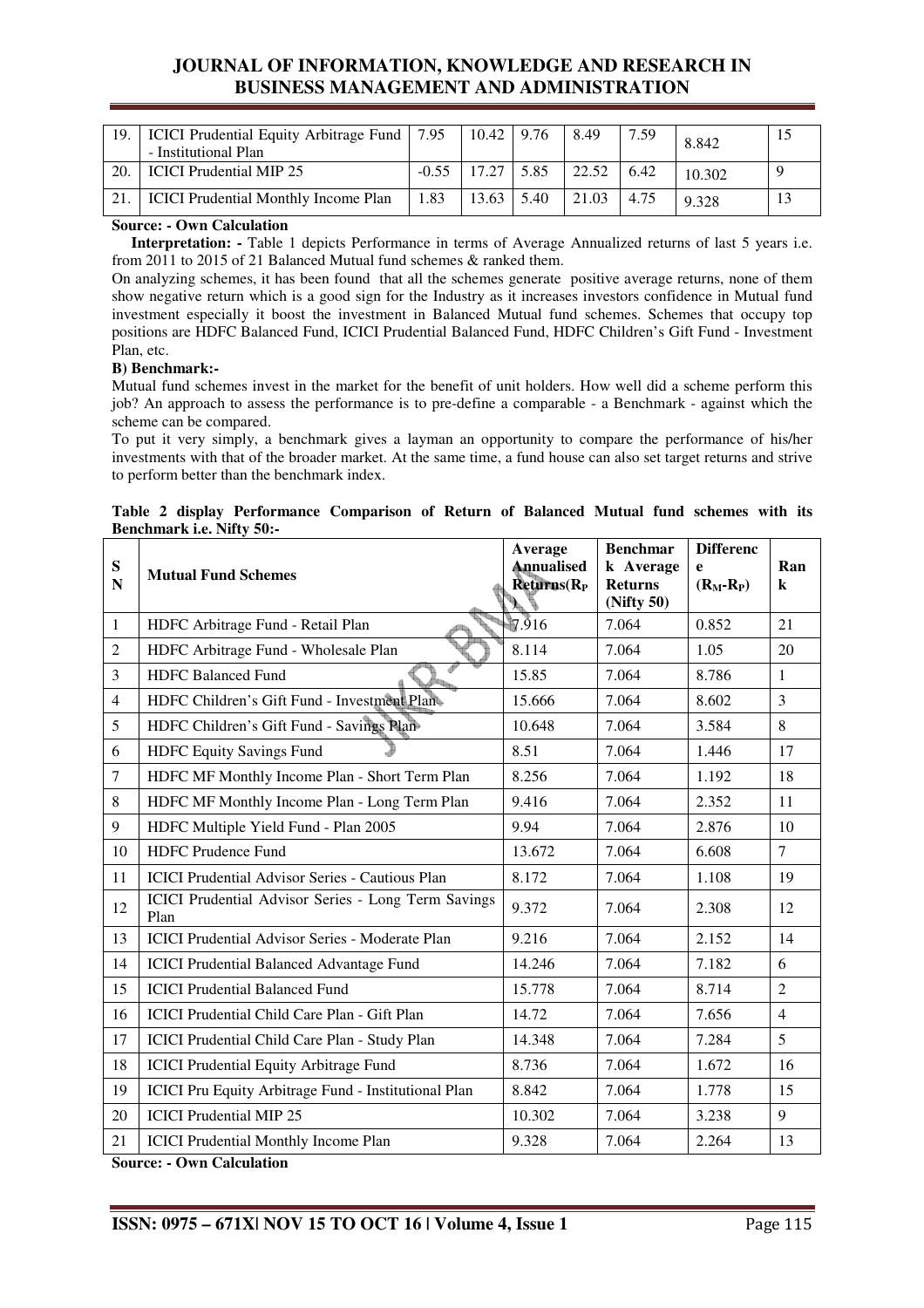| 19. | ICICI Prudential Equity Arbitrage Fund   7.95<br>- Institutional Plan |         | 10.42 | 9.76 | 8.49  | 7.59 | 8.842  |  |
|-----|-----------------------------------------------------------------------|---------|-------|------|-------|------|--------|--|
| 20  | <b>ICICI</b> Prudential MIP 25                                        | $-0.55$ |       | 5.85 | 22.52 | 6.42 | 10.302 |  |
|     | <b>ICICI</b> Prudential Monthly Income Plan                           | .83     | 13.63 | 5.40 | 21.03 | 4.75 | 9.328  |  |

# **Source: - Own Calculation**

 **Interpretation: -** Table 1 depicts Performance in terms of Average Annualized returns of last 5 years i.e. from 2011 to 2015 of 21 Balanced Mutual fund schemes & ranked them.

On analyzing schemes, it has been found that all the schemes generate positive average returns, none of them show negative return which is a good sign for the Industry as it increases investors confidence in Mutual fund investment especially it boost the investment in Balanced Mutual fund schemes. Schemes that occupy top positions are HDFC Balanced Fund, ICICI Prudential Balanced Fund, HDFC Children's Gift Fund - Investment Plan, etc.

# **B) Benchmark:-**

Mutual fund schemes invest in the market for the benefit of unit holders. How well did a scheme perform this job? An approach to assess the performance is to pre-define a comparable - a Benchmark - against which the scheme can be compared.

To put it very simply, a benchmark gives a layman an opportunity to compare the performance of his/her investments with that of the broader market. At the same time, a fund house can also set target returns and strive to perform better than the benchmark index.

|  |                                  | Table 2 display Performance Comparison of Return of Balanced Mutual fund schemes with its |  |  |  |  |  |
|--|----------------------------------|-------------------------------------------------------------------------------------------|--|--|--|--|--|
|  | <b>Benchmark i.e. Nifty 50:-</b> |                                                                                           |  |  |  |  |  |

| ${\bf S}$<br>${\bf N}$ | <b>Mutual Fund Schemes</b>                                  | Average<br><b>Annualised</b><br>Returns (R <sub>P</sub> ) | <b>Benchmar</b><br>k Average<br><b>Returns</b><br>(Nifty 50) | <b>Differenc</b><br>e<br>$(R_M-R_P)$ | Ran<br>$\bf k$ |
|------------------------|-------------------------------------------------------------|-----------------------------------------------------------|--------------------------------------------------------------|--------------------------------------|----------------|
| 1                      | HDFC Arbitrage Fund - Retail Plan                           | $\sqrt{7.916}$                                            | 7.064                                                        | 0.852                                | 21             |
| 2                      | HDFC Arbitrage Fund - Wholesale Plan                        | 8.114                                                     | 7.064                                                        | 1.05                                 | 20             |
| 3                      | <b>HDFC Balanced Fund</b>                                   | 15.85                                                     | 7.064                                                        | 8.786                                | $\mathbf{1}$   |
| $\overline{4}$         | HDFC Children's Gift Fund - Investment Plan-                | 15.666                                                    | 7.064                                                        | 8.602                                | $\overline{3}$ |
| 5                      | HDFC Children's Gift Fund - Savings Plan-                   | 10.648                                                    | 7.064                                                        | 3.584                                | 8              |
| 6                      | <b>HDFC Equity Savings Fund</b>                             | 8.51                                                      | 7.064                                                        | 1.446                                | 17             |
| $\tau$                 | HDFC MF Monthly Income Plan - Short Term Plan               | 8.256                                                     | 7.064                                                        | 1.192                                | 18             |
| 8                      | HDFC MF Monthly Income Plan - Long Term Plan                | 9.416                                                     | 7.064                                                        | 2.352                                | 11             |
| 9                      | HDFC Multiple Yield Fund - Plan 2005                        | 9.94                                                      | 7.064                                                        | 2.876                                | 10             |
| 10                     | <b>HDFC</b> Prudence Fund                                   | 13.672                                                    | 7.064                                                        | 6.608                                | $\overline{7}$ |
| 11                     | <b>ICICI</b> Prudential Advisor Series - Cautious Plan      | 8.172                                                     | 7.064                                                        | 1.108                                | 19             |
| 12                     | ICICI Prudential Advisor Series - Long Term Savings<br>Plan | 9.372                                                     | 7.064                                                        | 2.308                                | 12             |
| 13                     | <b>ICICI Prudential Advisor Series - Moderate Plan</b>      | 9.216                                                     | 7.064                                                        | 2.152                                | 14             |
| 14                     | <b>ICICI Prudential Balanced Advantage Fund</b>             | 14.246                                                    | 7.064                                                        | 7.182                                | 6              |
| 15                     | <b>ICICI Prudential Balanced Fund</b>                       | 15.778                                                    | 7.064                                                        | 8.714                                | $\overline{2}$ |
| 16                     | ICICI Prudential Child Care Plan - Gift Plan                | 14.72                                                     | 7.064                                                        | 7.656                                | $\overline{4}$ |
| 17                     | ICICI Prudential Child Care Plan - Study Plan               | 14.348                                                    | 7.064                                                        | 7.284                                | 5              |
| 18                     | <b>ICICI Prudential Equity Arbitrage Fund</b>               | 8.736                                                     | 7.064                                                        | 1.672                                | 16             |
| 19                     | ICICI Pru Equity Arbitrage Fund - Institutional Plan        | 8.842                                                     | 7.064                                                        | 1.778                                | 15             |
| 20                     | <b>ICICI</b> Prudential MIP 25                              | 10.302                                                    | 7.064                                                        | 3.238                                | 9              |
| 21                     | <b>ICICI Prudential Monthly Income Plan</b>                 | 9.328                                                     | 7.064                                                        | 2.264                                | 13             |

**Source: - Own Calculation**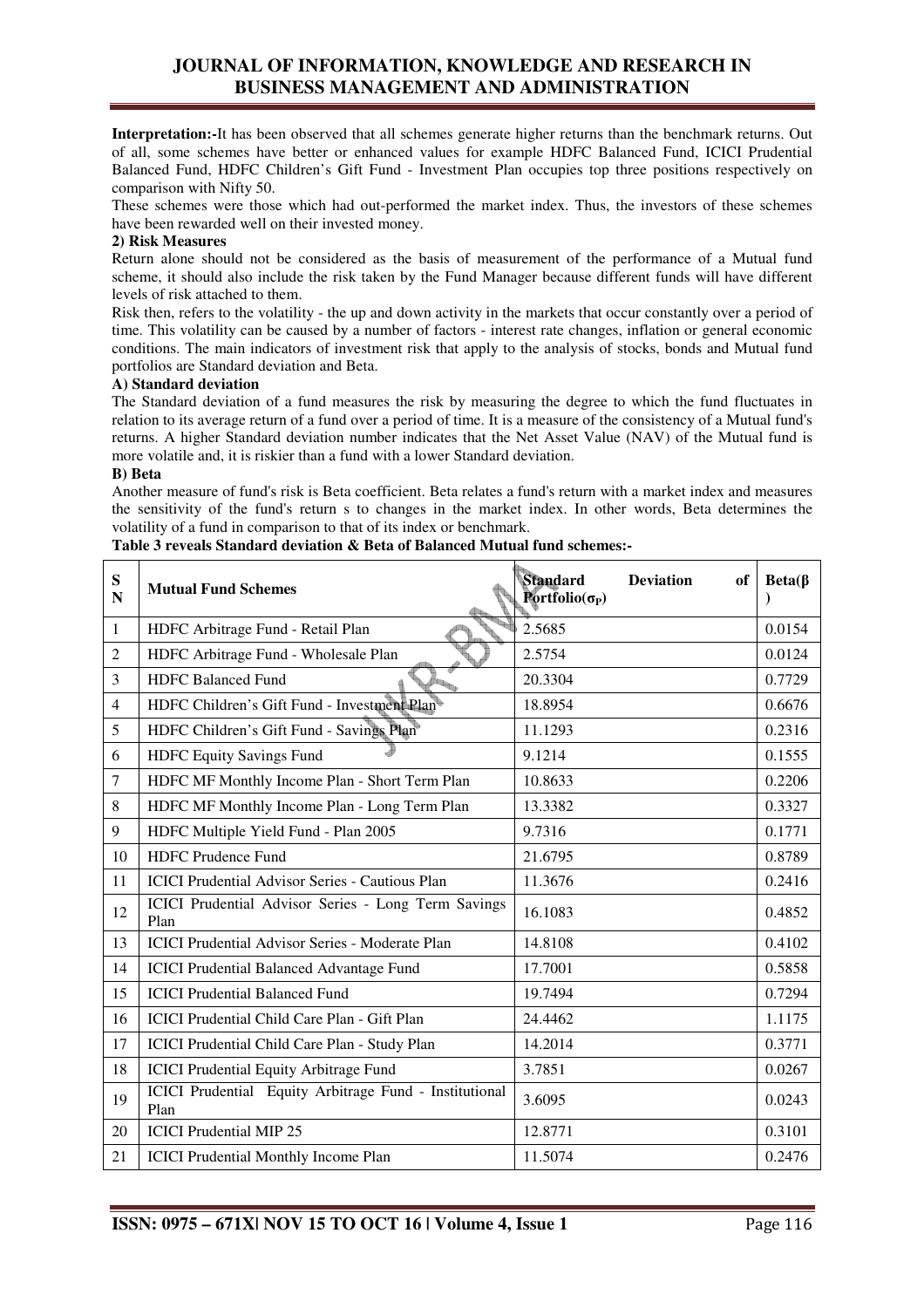**Interpretation:-**It has been observed that all schemes generate higher returns than the benchmark returns. Out of all, some schemes have better or enhanced values for example HDFC Balanced Fund, ICICI Prudential Balanced Fund, HDFC Children's Gift Fund - Investment Plan occupies top three positions respectively on comparison with Nifty 50.

These schemes were those which had out-performed the market index. Thus, the investors of these schemes have been rewarded well on their invested money.

# **2) Risk Measures**

Return alone should not be considered as the basis of measurement of the performance of a Mutual fund scheme, it should also include the risk taken by the Fund Manager because different funds will have different levels of risk attached to them.

Risk then, refers to the volatility - the up and down activity in the markets that occur constantly over a period of time. This volatility can be caused by a number of factors - interest rate changes, inflation or general economic conditions. The main indicators of investment risk that apply to the analysis of stocks, bonds and Mutual fund portfolios are Standard deviation and Beta.

# **A) Standard deviation**

The Standard deviation of a fund measures the risk by measuring the degree to which the fund fluctuates in relation to its average return of a fund over a period of time. It is a measure of the consistency of a Mutual fund's returns. A higher Standard deviation number indicates that the Net Asset Value (NAV) of the Mutual fund is more volatile and, it is riskier than a fund with a lower Standard deviation.

# **B) Beta**

Another measure of fund's risk is Beta coefficient. Beta relates a fund's return with a market index and measures the sensitivity of the fund's return s to changes in the market index. In other words, Beta determines the volatility of a fund in comparison to that of its index or benchmark.

| Table 3 reveals Standard deviation & Beta of Balanced Mutual fund schemes:- |  |  |
|-----------------------------------------------------------------------------|--|--|
|-----------------------------------------------------------------------------|--|--|

| ${\bf S}$<br>$\mathbf N$ | <b>Mutual Fund Schemes</b>                                     | <b>Standard</b><br><b>Deviation</b><br>of<br>Portfolio( $\sigma_{\rm P}$ ) | $Beta(\beta)$ |
|--------------------------|----------------------------------------------------------------|----------------------------------------------------------------------------|---------------|
| $\mathbf{1}$             | HDFC Arbitrage Fund - Retail Plan                              | 2.5685                                                                     | 0.0154        |
| 2                        | HDFC Arbitrage Fund - Wholesale Plan                           | 2.5754                                                                     | 0.0124        |
| 3                        | <b>HDFC Balanced Fund</b>                                      | 20.3304                                                                    | 0.7729        |
| $\overline{4}$           | HDFC Children's Gift Fund - Investment Plan                    | 18.8954                                                                    | 0.6676        |
| 5                        | HDFC Children's Gift Fund - Savings Plan                       | 11.1293                                                                    | 0.2316        |
| 6                        | <b>HDFC Equity Savings Fund</b>                                | 9.1214                                                                     | 0.1555        |
| 7                        | HDFC MF Monthly Income Plan - Short Term Plan                  | 10.8633                                                                    | 0.2206        |
| $\,8$                    | HDFC MF Monthly Income Plan - Long Term Plan                   | 13.3382                                                                    | 0.3327        |
| 9                        | HDFC Multiple Yield Fund - Plan 2005                           | 9.7316                                                                     | 0.1771        |
| 10                       | <b>HDFC</b> Prudence Fund                                      | 21.6795                                                                    | 0.8789        |
| 11                       | <b>ICICI Prudential Advisor Series - Cautious Plan</b>         | 11.3676                                                                    | 0.2416        |
| 12                       | ICICI Prudential Advisor Series - Long Term Savings<br>Plan    | 16.1083                                                                    | 0.4852        |
| 13                       | <b>ICICI Prudential Advisor Series - Moderate Plan</b>         | 14.8108                                                                    | 0.4102        |
| 14                       | <b>ICICI Prudential Balanced Advantage Fund</b>                | 17.7001                                                                    | 0.5858        |
| 15                       | <b>ICICI Prudential Balanced Fund</b>                          | 19.7494                                                                    | 0.7294        |
| 16                       | ICICI Prudential Child Care Plan - Gift Plan                   | 24.4462                                                                    | 1.1175        |
| 17                       | ICICI Prudential Child Care Plan - Study Plan                  | 14.2014                                                                    | 0.3771        |
| 18                       | <b>ICICI Prudential Equity Arbitrage Fund</b>                  | 3.7851                                                                     | 0.0267        |
| 19                       | ICICI Prudential Equity Arbitrage Fund - Institutional<br>Plan | 3.6095                                                                     | 0.0243        |
| 20                       | <b>ICICI</b> Prudential MIP 25                                 | 12.8771                                                                    | 0.3101        |
| 21                       | <b>ICICI Prudential Monthly Income Plan</b>                    | 11.5074                                                                    | 0.2476        |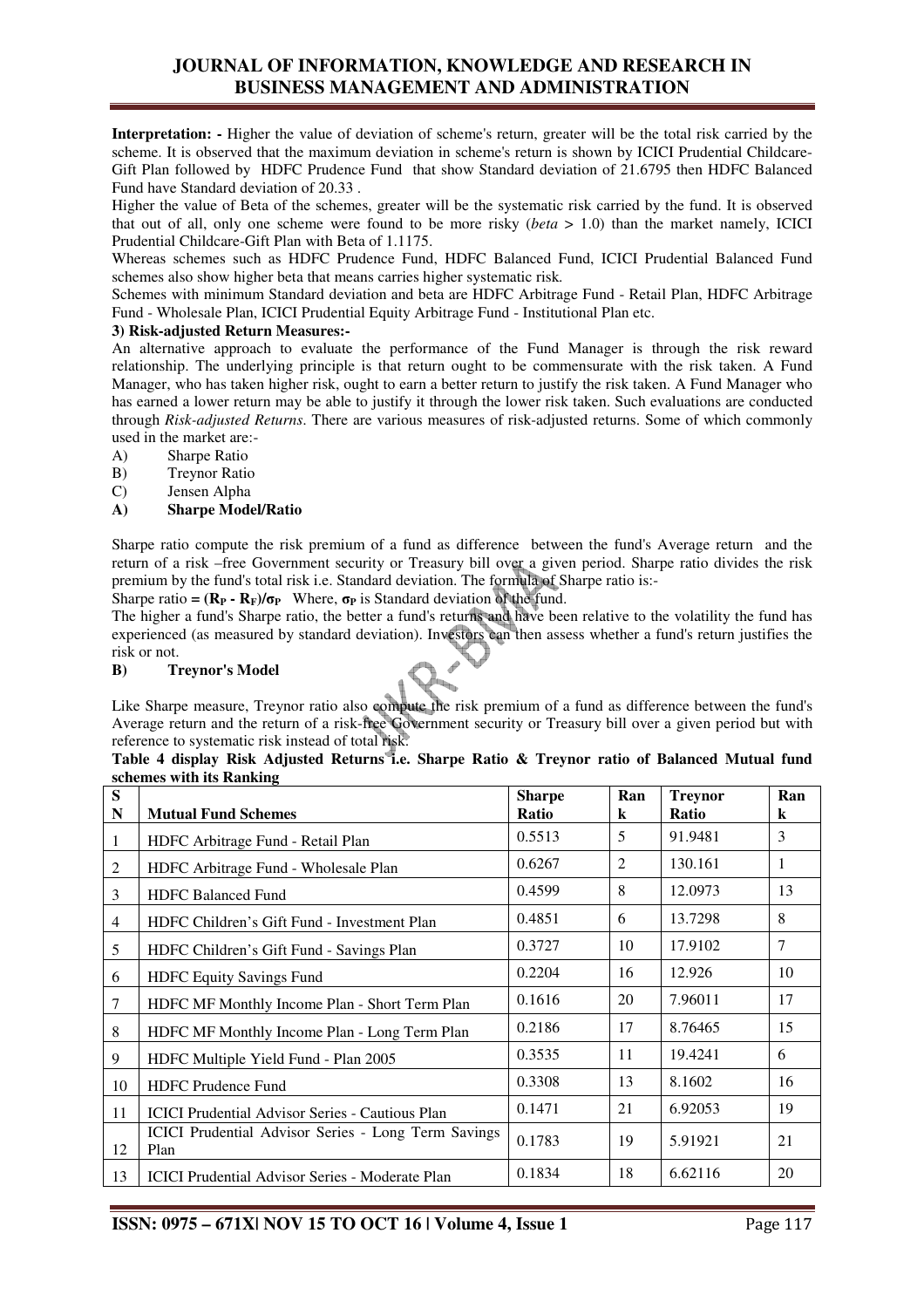**Interpretation: -** Higher the value of deviation of scheme's return, greater will be the total risk carried by the scheme. It is observed that the maximum deviation in scheme's return is shown by ICICI Prudential Childcare-Gift Plan followed by HDFC Prudence Fund that show Standard deviation of 21.6795 then HDFC Balanced Fund have Standard deviation of 20.33 .

Higher the value of Beta of the schemes, greater will be the systematic risk carried by the fund. It is observed that out of all, only one scheme were found to be more risky (*beta* > 1.0) than the market namely, ICICI Prudential Childcare-Gift Plan with Beta of 1.1175.

Whereas schemes such as HDFC Prudence Fund, HDFC Balanced Fund, ICICI Prudential Balanced Fund schemes also show higher beta that means carries higher systematic risk*.*

Schemes with minimum Standard deviation and beta are HDFC Arbitrage Fund - Retail Plan, HDFC Arbitrage Fund - Wholesale Plan, ICICI Prudential Equity Arbitrage Fund - Institutional Plan etc.

# **3) Risk-adjusted Return Measures:-**

An alternative approach to evaluate the performance of the Fund Manager is through the risk reward relationship. The underlying principle is that return ought to be commensurate with the risk taken. A Fund Manager, who has taken higher risk, ought to earn a better return to justify the risk taken. A Fund Manager who has earned a lower return may be able to justify it through the lower risk taken. Such evaluations are conducted through *Risk-adjusted Returns*. There are various measures of risk-adjusted returns. Some of which commonly used in the market are:-

- A) Sharpe Ratio
- B) Treynor Ratio
- C) Jensen Alpha

# **A) Sharpe Model/Ratio**

Sharpe ratio compute the risk premium of a fund as difference between the fund's Average return and the return of a risk –free Government security or Treasury bill over a given period. Sharpe ratio divides the risk premium by the fund's total risk i.e. Standard deviation. The formula of Sharpe ratio is:-

Sharpe ratio =  $(\mathbf{R}_P \cdot \mathbf{R}_F)/\sigma_P$  Where,  $\sigma_P$  is Standard deviation of the fund.

The higher a fund's Sharpe ratio, the better a fund's returns and have been relative to the volatility the fund has experienced (as measured by standard deviation). Investors can then assess whether a fund's return justifies the risk or not.

# **B) Treynor's Model**

Like Sharpe measure, Treynor ratio also compute the risk premium of a fund as difference between the fund's Average return and the return of a risk-free Government security or Treasury bill over a given period but with reference to systematic risk instead of total risk.

| Table 4 display Risk Adjusted Returns i.e. Sharpe Ratio & Treynor ratio of Balanced Mutual fund |  |  |  |  |  |  |  |
|-------------------------------------------------------------------------------------------------|--|--|--|--|--|--|--|
| schemes with its Ranking                                                                        |  |  |  |  |  |  |  |

| S<br>N         | <b>Mutual Fund Schemes</b>                                  | <b>Sharpe</b><br>Ratio | Ran<br>k       | <b>Treynor</b><br><b>Ratio</b> | Ran<br>k |
|----------------|-------------------------------------------------------------|------------------------|----------------|--------------------------------|----------|
|                | HDFC Arbitrage Fund - Retail Plan                           | 0.5513                 | 5              | 91.9481                        | 3        |
| 2              | HDFC Arbitrage Fund - Wholesale Plan                        | 0.6267                 | $\overline{2}$ | 130.161                        | 1        |
| 3              | <b>HDFC Balanced Fund</b>                                   | 0.4599                 | 8              | 12.0973                        | 13       |
| $\overline{4}$ | HDFC Children's Gift Fund - Investment Plan                 | 0.4851                 | 6              | 13.7298                        | 8        |
| 5              | HDFC Children's Gift Fund - Savings Plan                    | 0.3727                 | 10             | 17.9102                        | 7        |
| 6              | <b>HDFC Equity Savings Fund</b>                             | 0.2204                 | 16             | 12.926                         | 10       |
| 7              | HDFC MF Monthly Income Plan - Short Term Plan               | 0.1616                 | 20             | 7.96011                        | 17       |
| 8              | HDFC MF Monthly Income Plan - Long Term Plan                | 0.2186                 | 17             | 8.76465                        | 15       |
| 9              | HDFC Multiple Yield Fund - Plan 2005                        | 0.3535                 | 11             | 19.4241                        | 6        |
| 10             | <b>HDFC Prudence Fund</b>                                   | 0.3308                 | 13             | 8.1602                         | 16       |
| 11             | <b>ICICI Prudential Advisor Series - Cautious Plan</b>      | 0.1471                 | 21             | 6.92053                        | 19       |
| 12             | ICICI Prudential Advisor Series - Long Term Savings<br>Plan | 0.1783                 | 19             | 5.91921                        | 21       |
| 13             | <b>ICICI</b> Prudential Advisor Series - Moderate Plan      | 0.1834                 | 18             | 6.62116                        | 20       |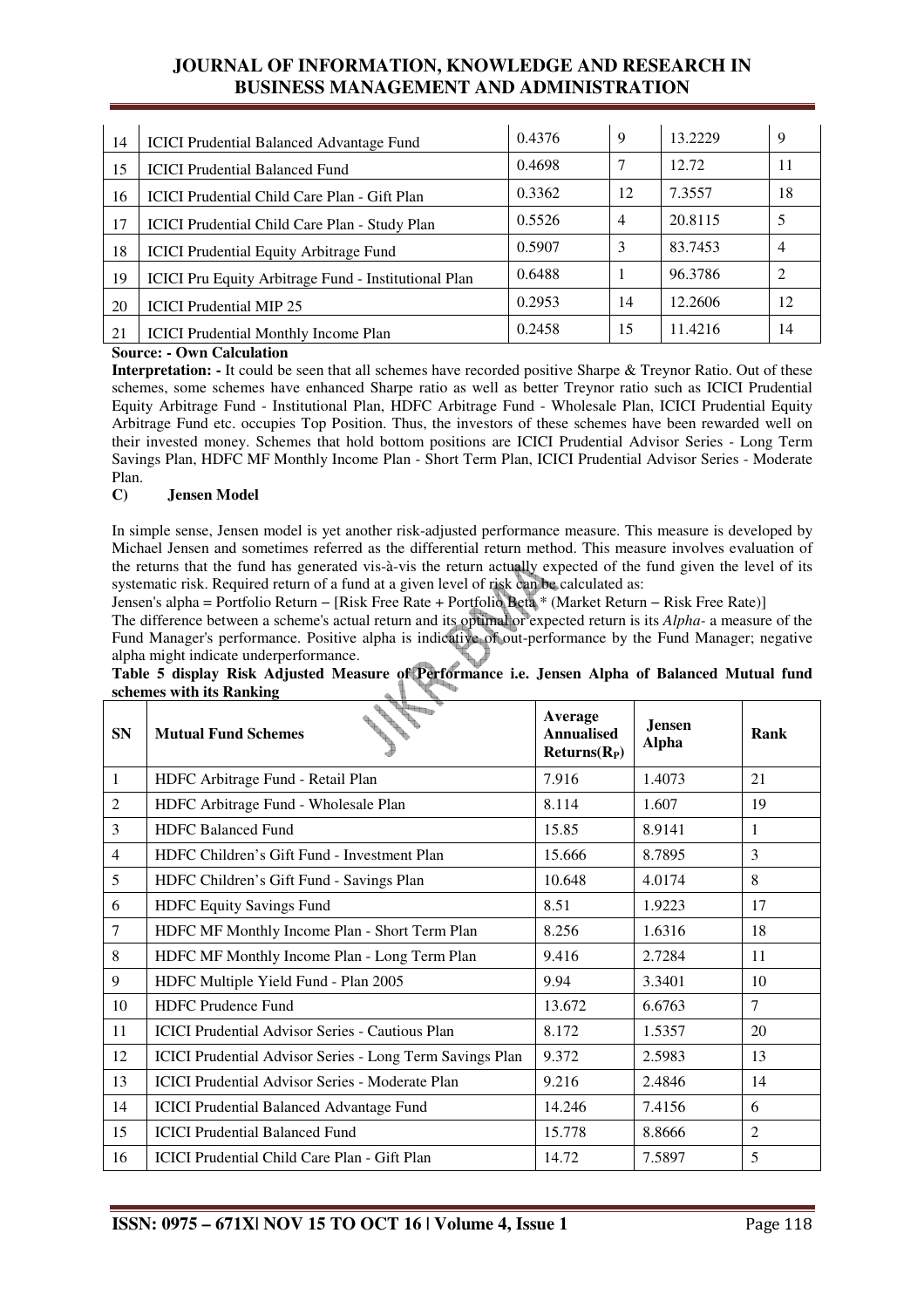| 14 | <b>ICICI</b> Prudential Balanced Advantage Fund             | 0.4376 | 9              | 13.2229 | 9              |
|----|-------------------------------------------------------------|--------|----------------|---------|----------------|
| 15 | <b>ICICI Prudential Balanced Fund</b>                       | 0.4698 |                | 12.72   | 11             |
| 16 | ICICI Prudential Child Care Plan - Gift Plan                | 0.3362 | 12             | 7.3557  | 18             |
| 17 | ICICI Prudential Child Care Plan - Study Plan               | 0.5526 | $\overline{4}$ | 20.8115 | 5              |
| 18 | <b>ICICI Prudential Equity Arbitrage Fund</b>               | 0.5907 | 3              | 83.7453 | 4              |
| 19 | <b>ICICI Pru Equity Arbitrage Fund - Institutional Plan</b> | 0.6488 |                | 96.3786 | $\overline{c}$ |
| 20 | <b>ICICI</b> Prudential MIP 25                              | 0.2953 | 14             | 12.2606 | 12             |
| 21 | <b>ICICI</b> Prudential Monthly Income Plan                 | 0.2458 | 15             | 11.4216 | 14             |

# **Source: - Own Calculation**

**Interpretation: -** It could be seen that all schemes have recorded positive Sharpe & Treynor Ratio. Out of these schemes, some schemes have enhanced Sharpe ratio as well as better Treynor ratio such as ICICI Prudential Equity Arbitrage Fund - Institutional Plan, HDFC Arbitrage Fund - Wholesale Plan, ICICI Prudential Equity Arbitrage Fund etc. occupies Top Position. Thus, the investors of these schemes have been rewarded well on their invested money. Schemes that hold bottom positions are ICICI Prudential Advisor Series - Long Term Savings Plan, HDFC MF Monthly Income Plan - Short Term Plan, ICICI Prudential Advisor Series - Moderate Plan.

# **C) Jensen Model**

In simple sense, Jensen model is yet another risk-adjusted performance measure. This measure is developed by Michael Jensen and sometimes referred as the differential return method. This measure involves evaluation of the returns that the fund has generated vis-à-vis the return actually expected of the fund given the level of its systematic risk. Required return of a fund at a given level of risk can be calculated as:

Jensen's alpha = Portfolio Return − [Risk Free Rate + Portfolio Beta \* (Market Return − Risk Free Rate)]

The difference between a scheme's actual return and its optimal or expected return is its *Alpha-* a measure of the Fund Manager's performance. Positive alpha is indicative of out-performance by the Fund Manager; negative alpha might indicate underperformance.

| <b>SN</b>      | <b>San Britannia</b><br><b>Mutual Fund Schemes</b>       | Average<br><b>Annualised</b><br>$Returns(R_P)$ | <b>Jensen</b><br><b>Alpha</b> | Rank           |
|----------------|----------------------------------------------------------|------------------------------------------------|-------------------------------|----------------|
| 1              | HDFC Arbitrage Fund - Retail Plan                        | 7.916                                          | 1.4073                        | 21             |
| $\overline{c}$ | HDFC Arbitrage Fund - Wholesale Plan                     | 8.114                                          | 1.607                         | 19             |
| 3              | <b>HDFC Balanced Fund</b>                                | 15.85                                          | 8.9141                        | 1              |
| 4              | HDFC Children's Gift Fund - Investment Plan              | 15.666                                         | 8.7895                        | 3              |
| 5              | HDFC Children's Gift Fund - Savings Plan                 | 10.648                                         | 4.0174                        | 8              |
| 6              | HDFC Equity Savings Fund                                 | 8.51                                           | 1.9223                        | 17             |
| 7              | HDFC MF Monthly Income Plan - Short Term Plan            | 8.256                                          | 1.6316                        | 18             |
| 8              | HDFC MF Monthly Income Plan - Long Term Plan             | 9.416                                          | 2.7284                        | 11             |
| 9              | HDFC Multiple Yield Fund - Plan 2005                     | 9.94                                           | 3.3401                        | 10             |
| 10             | <b>HDFC</b> Prudence Fund                                | 13.672                                         | 6.6763                        | $\tau$         |
| 11             | <b>ICICI Prudential Advisor Series - Cautious Plan</b>   | 8.172                                          | 1.5357                        | 20             |
| 12             | ICICI Prudential Advisor Series - Long Term Savings Plan | 9.372                                          | 2.5983                        | 13             |
| 13             | <b>ICICI</b> Prudential Advisor Series - Moderate Plan   | 9.216                                          | 2.4846                        | 14             |
| 14             | <b>ICICI Prudential Balanced Advantage Fund</b>          | 14.246                                         | 7.4156                        | 6              |
| 15             | <b>ICICI Prudential Balanced Fund</b>                    | 15.778                                         | 8.8666                        | $\overline{2}$ |
| 16             | ICICI Prudential Child Care Plan - Gift Plan             | 14.72                                          | 7.5897                        | 5              |

**Table 5 display Risk Adjusted Measure of Performance i.e. Jensen Alpha of Balanced Mutual fund schemes with its Ranking**   $^{\prime}$